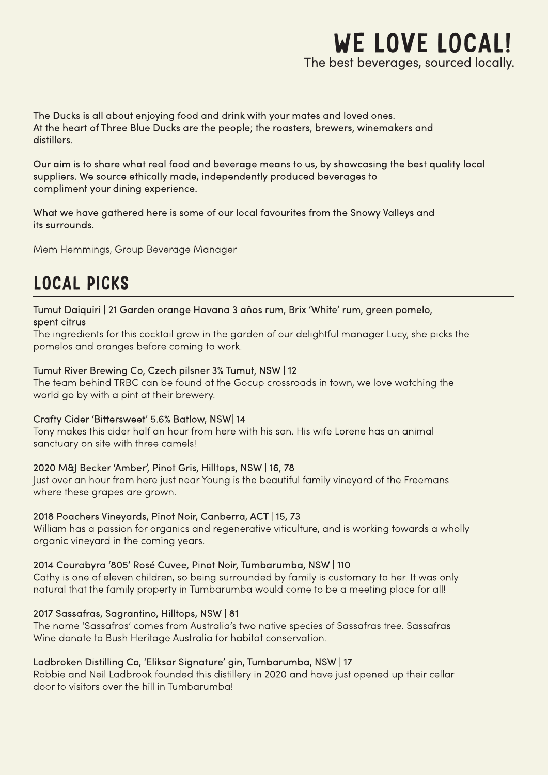

The Ducks is all about enjoying food and drink with your mates and loved ones. At the heart of Three Blue Ducks are the people; the roasters, brewers, winemakers and distillers.

Our aim is to share what real food and beverage means to us, by showcasing the best quality local suppliers. We source ethically made, independently produced beverages to compliment your dining experience.

What we have gathered here is some of our local favourites from the Snowy Valleys and its surrounds.

Mem Hemmings, Group Beverage Manager

## LOCAL PICKS

Tumut Daiquiri | 21 Garden orange Havana 3 años rum, Brix 'White' rum, green pomelo, spent citrus

The ingredients for this cocktail grow in the garden of our delightful manager Lucy, she picks the pomelos and oranges before coming to work.

### Tumut River Brewing Co, Czech pilsner 3% Tumut, NSW | 12

The team behind TRBC can be found at the Gocup crossroads in town, we love watching the world go by with a pint at their brewery.

### Crafty Cider 'Bittersweet' 5.6% Batlow, NSW 14

Tony makes this cider half an hour from here with his son. His wife Lorene has an animal sanctuary on site with three camels!

### 2020 M&J Becker 'Amber', Pinot Gris, Hilltops, NSW | 16, 78

Just over an hour from here just near Young is the beautiful family vineyard of the Freemans where these grapes are grown.

### 2018 Poachers Vineyards, Pinot Noir, Canberra, ACT | 15, 73

William has a passion for organics and regenerative viticulture, and is working towards a wholly organic vineyard in the coming years.

### 2014 Courabyra '805' Rosé Cuvee, Pinot Noir, Tumbarumba, NSW | 110

Cathy is one of eleven children, so being surrounded by family is customary to her. It was only natural that the family property in Tumbarumba would come to be a meeting place for all!

### 2017 Sassafras, Sagrantino, Hilltops, NSW | 81

The name 'Sassafras' comes from Australia's two native species of Sassafras tree. Sassafras Wine donate to Bush Heritage Australia for habitat conservation.

### Ladbroken Distilling Co, 'Eliksar Signature' gin, Tumbarumba, NSW | 17

Robbie and Neil Ladbrook founded this distillery in 2020 and have just opened up their cellar door to visitors over the hill in Tumbarumba!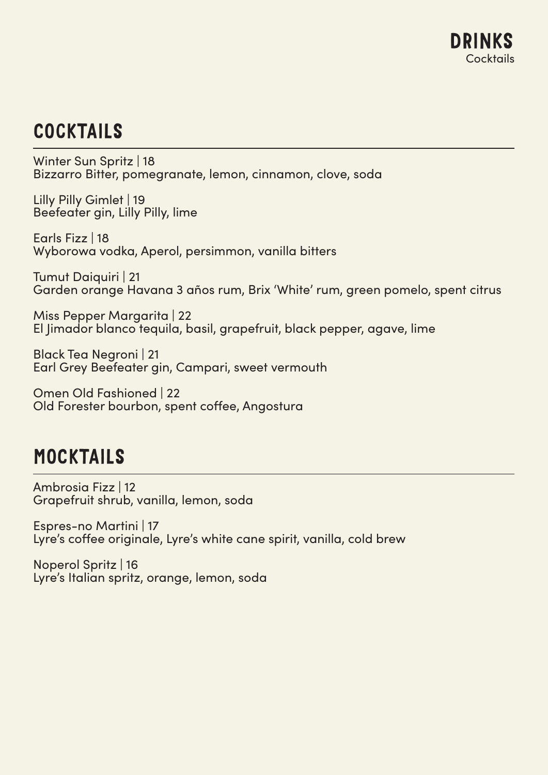# **COCKTAILS**

Winter Sun Spritz | 18 Bizzarro Bitter, pomegranate, lemon, cinnamon, clove, soda

Lilly Pilly Gimlet | 19 Beefeater gin, Lilly Pilly, lime

Earls Fizz | 18 Wyborowa vodka, Aperol, persimmon, vanilla bitters

Tumut Daiquiri | 21 Garden orange Havana 3 años rum, Brix 'White' rum, green pomelo, spent citrus

Miss Pepper Margarita | 22 El Jimador blanco tequila, basil, grapefruit, black pepper, agave, lime

Black Tea Negroni | 21 Earl Grey Beefeater gin, Campari, sweet vermouth

Omen Old Fashioned | 22 Old Forester bourbon, spent coffee, Angostura

## MOCKTAILS

Ambrosia Fizz | 12 Grapefruit shrub, vanilla, lemon, soda

Espres-no Martini | 17 Lyre's coffee originale, Lyre's white cane spirit, vanilla, cold brew

Noperol Spritz | 16 Lyre's Italian spritz, orange, lemon, soda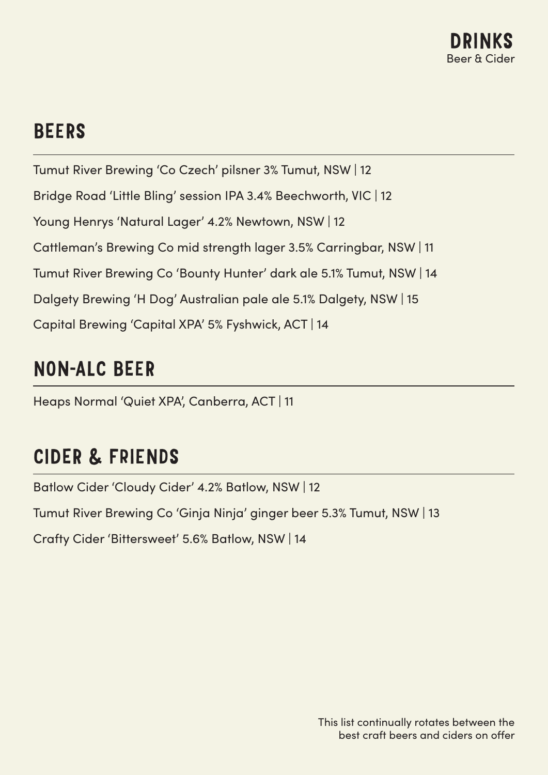

## **BEERS**

Tumut River Brewing 'Co Czech' pilsner 3% Tumut, NSW | 12 Bridge Road 'Little Bling' session IPA 3.4% Beechworth, VIC | 12 Young Henrys 'Natural Lager' 4.2% Newtown, NSW | 12 Cattleman's Brewing Co mid strength lager 3.5% Carringbar, NSW | 11 Tumut River Brewing Co 'Bounty Hunter' dark ale 5.1% Tumut, NSW | 14 Dalgety Brewing 'H Dog' Australian pale ale 5.1% Dalgety, NSW | 15 Capital Brewing 'Capital XPA' 5% Fyshwick, ACT | 14

## NON-ALC BEER

Heaps Normal 'Quiet XPA', Canberra, ACT | 11

## CIDER & FRIENDS

Batlow Cider 'Cloudy Cider' 4.2% Batlow, NSW | 12

Tumut River Brewing Co 'Ginja Ninja' ginger beer 5.3% Tumut, NSW | 13

Crafty Cider 'Bittersweet' 5.6% Batlow, NSW | 14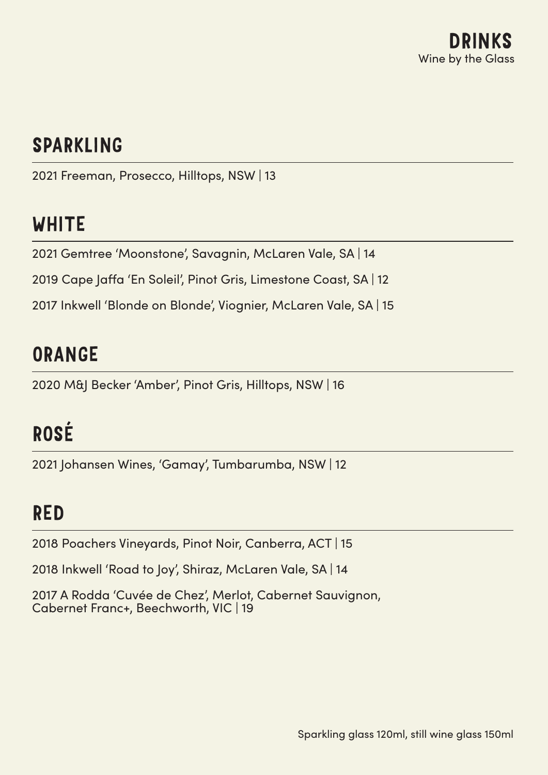# SPARKLING

2021 Freeman, Prosecco, Hilltops, NSW | 13

# WHITE

2021 Gemtree 'Moonstone', Savagnin, McLaren Vale, SA | 14

2019 Cape Jaffa 'En Soleil', Pinot Gris, Limestone Coast, SA | 12

2017 Inkwell 'Blonde on Blonde', Viognier, McLaren Vale, SA | 15

## ORANGE

2020 M&J Becker 'Amber', Pinot Gris, Hilltops, NSW | 16

# ROSÉ

2021 Johansen Wines, 'Gamay', Tumbarumba, NSW | 12

## RED

2018 Poachers Vineyards, Pinot Noir, Canberra, ACT | 15

2018 Inkwell 'Road to Joy', Shiraz, McLaren Vale, SA | 14

2017 A Rodda 'Cuvée de Chez', Merlot, Cabernet Sauvignon, Cabernet Franc+, Beechworth, VIC | 19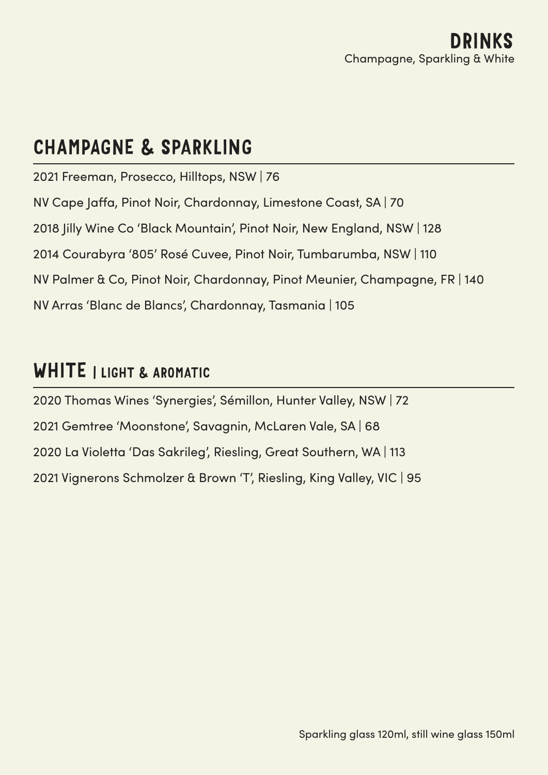## CHAMPAGNE & SPARKLING

2021 Freeman, Prosecco, Hilltops, NSW | 76 NV Cape Jaffa, Pinot Noir, Chardonnay, Limestone Coast, SA | 70 2018 Jilly Wine Co 'Black Mountain', Pinot Noir, New England, NSW | 128 2014 Courabyra '805' Rosé Cuvee, Pinot Noir, Tumbarumba, NSW | 110 NV Palmer & Co, Pinot Noir, Chardonnay, Pinot Meunier, Champagne, FR | 140 NV Arras 'Blanc de Blancs', Chardonnay, Tasmania | 105

## WHITE | LIGHT & AROMATIC

2020 Thomas Wines 'Synergies', Sémillon, Hunter Valley, NSW | 72 2021 Gemtree 'Moonstone', Savagnin, McLaren Vale, SA | 68 2020 La Violetta 'Das Sakrileg', Riesling, Great Southern, WA | 113 2021 Vignerons Schmolzer & Brown 'T', Riesling, King Valley, VIC | 95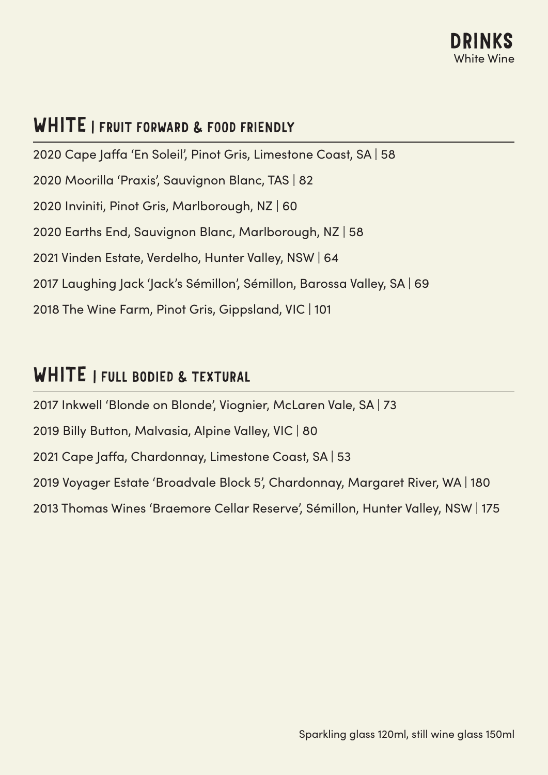

### WHITE I FRUIT FORWARD & FOOD FRIENDLY

2020 Cape Jaffa 'En Soleil', Pinot Gris, Limestone Coast, SA | 58 2020 Moorilla 'Praxis', Sauvignon Blanc, TAS | 82 2020 Inviniti, Pinot Gris, Marlborough, NZ | 60 2020 Earths End, Sauvignon Blanc, Marlborough, NZ | 58 2021 Vinden Estate, Verdelho, Hunter Valley, NSW | 64 2017 Laughing Jack 'Jack's Sémillon', Sémillon, Barossa Valley, SA | 69 2018 The Wine Farm, Pinot Gris, Gippsland, VIC | 101

### WHITE | FULL BODIED & TEXTURAL

2017 Inkwell 'Blonde on Blonde', Viognier, McLaren Vale, SA | 73 2019 Billy Button, Malvasia, Alpine Valley, VIC | 80 2021 Cape Jaffa, Chardonnay, Limestone Coast, SA | 53 2019 Voyager Estate 'Broadvale Block 5', Chardonnay, Margaret River, WA | 180 2013 Thomas Wines 'Braemore Cellar Reserve', Sémillon, Hunter Valley, NSW | 175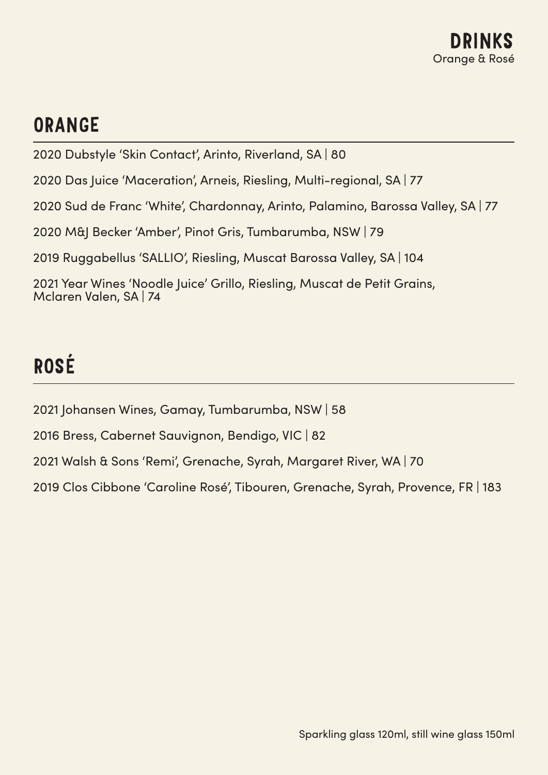# ORANGE

2020 Dubstyle 'Skin Contact', Arinto, Riverland, SA | 80

2020 Das Juice 'Maceration', Arneis, Riesling, Multi-regional, SA | 77

2020 Sud de Franc 'White', Chardonnay, Arinto, Palamino, Barossa Valley, SA | 77

2020 M&J Becker 'Amber', Pinot Gris, Tumbarumba, NSW | 79

2019 Ruggabellus 'SALLIO', Riesling, Muscat Barossa Valley, SA | 104

2021 Year Wines 'Noodle Juice' Grillo, Riesling, Muscat de Petit Grains, Mclaren Valen, SA | 74

# ROSÉ

2021 Johansen Wines, Gamay, Tumbarumba, NSW | 58

2016 Bress, Cabernet Sauvignon, Bendigo, VIC | 82

2021 Walsh & Sons 'Remi', Grenache, Syrah, Margaret River, WA | 70

2019 Clos Cibbone 'Caroline Rosé', Tibouren, Grenache, Syrah, Provence, FR | 183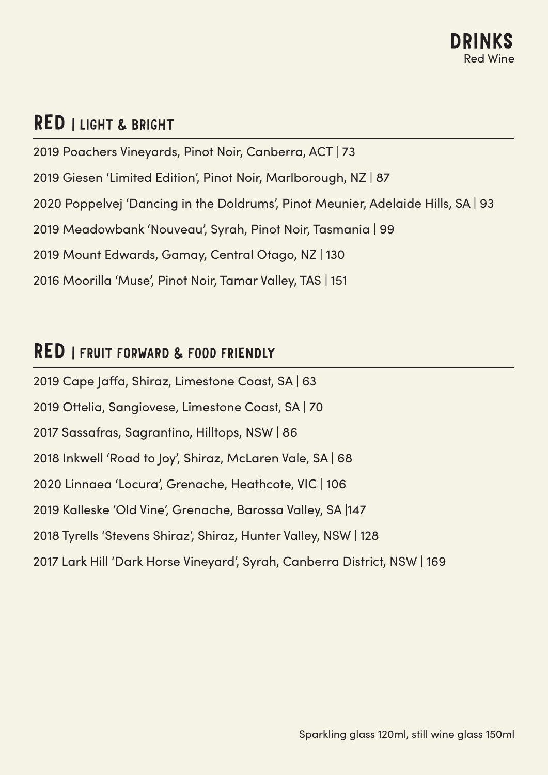## RED | LIGHT & BRIGHT

2019 Poachers Vineyards, Pinot Noir, Canberra, ACT | 73 2019 Giesen 'Limited Edition', Pinot Noir, Marlborough, NZ | 87 2020 Poppelvej 'Dancing in the Doldrums', Pinot Meunier, Adelaide Hills, SA | 93 2019 Meadowbank 'Nouveau', Syrah, Pinot Noir, Tasmania | 99 2019 Mount Edwards, Gamay, Central Otago, NZ | 130 2016 Moorilla 'Muse', Pinot Noir, Tamar Valley, TAS | 151

### RED I FRUIT FORWARD & FOOD FRIENDLY

2019 Cape Jaffa, Shiraz, Limestone Coast, SA | 63 2019 Ottelia, Sangiovese, Limestone Coast, SA | 70 2017 Sassafras, Sagrantino, Hilltops, NSW | 86 2018 Inkwell 'Road to Joy', Shiraz, McLaren Vale, SA | 68 2020 Linnaea 'Locura', Grenache, Heathcote, VIC | 106 2019 Kalleske 'Old Vine', Grenache, Barossa Valley, SA |147 2018 Tyrells 'Stevens Shiraz', Shiraz, Hunter Valley, NSW | 128 2017 Lark Hill 'Dark Horse Vineyard', Syrah, Canberra District, NSW | 169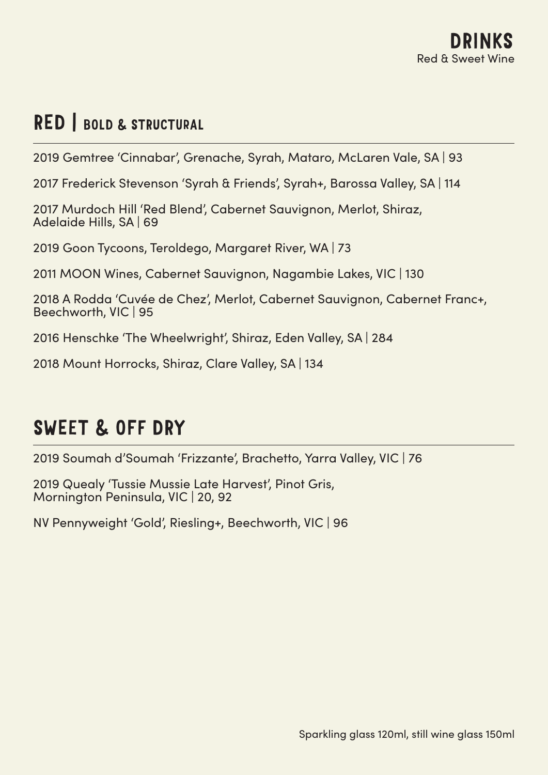## RED | BOLD & STRUCTURAL

2019 Gemtree 'Cinnabar', Grenache, Syrah, Mataro, McLaren Vale, SA | 93

2017 Frederick Stevenson 'Syrah & Friends', Syrah+, Barossa Valley, SA | 114

2017 Murdoch Hill 'Red Blend', Cabernet Sauvignon, Merlot, Shiraz, Adelaide Hills, SA | 69

2019 Goon Tycoons, Teroldego, Margaret River, WA | 73

2011 MOON Wines, Cabernet Sauvignon, Nagambie Lakes, VIC | 130

2018 A Rodda 'Cuvée de Chez', Merlot, Cabernet Sauvignon, Cabernet Franc+, Beechworth, VIC | 95

2016 Henschke 'The Wheelwright', Shiraz, Eden Valley, SA | 284

2018 Mount Horrocks, Shiraz, Clare Valley, SA | 134

## SWEET & OFF DRY

2019 Soumah d'Soumah 'Frizzante', Brachetto, Yarra Valley, VIC | 76

2019 Quealy 'Tussie Mussie Late Harvest', Pinot Gris, Mornington Peninsula, VIC | 20, 92

NV Pennyweight 'Gold', Riesling+, Beechworth, VIC | 96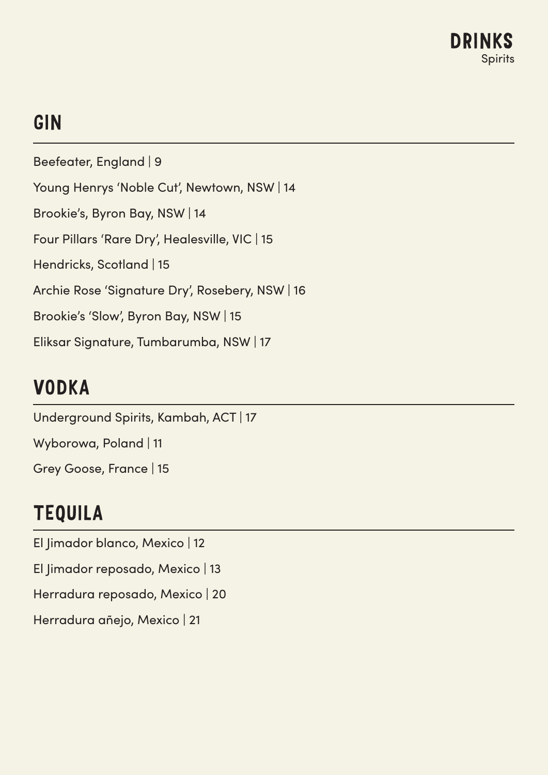# GIN

Beefeater, England | 9 Young Henrys 'Noble Cut', Newtown, NSW | 14 Brookie's, Byron Bay, NSW | 14 Four Pillars 'Rare Dry', Healesville, VIC | 15 Hendricks, Scotland | 15 Archie Rose 'Signature Dry', Rosebery, NSW | 16 Brookie's 'Slow', Byron Bay, NSW | 15 Eliksar Signature, Tumbarumba, NSW | 17

# VODKA

Underground Spirits, Kambah, ACT | 17 Wyborowa, Poland | 11 Grey Goose, France | 15

# TEQUILA

El Jimador blanco, Mexico | 12 El Jimador reposado, Mexico | 13 Herradura reposado, Mexico | 20 Herradura añejo, Mexico | 21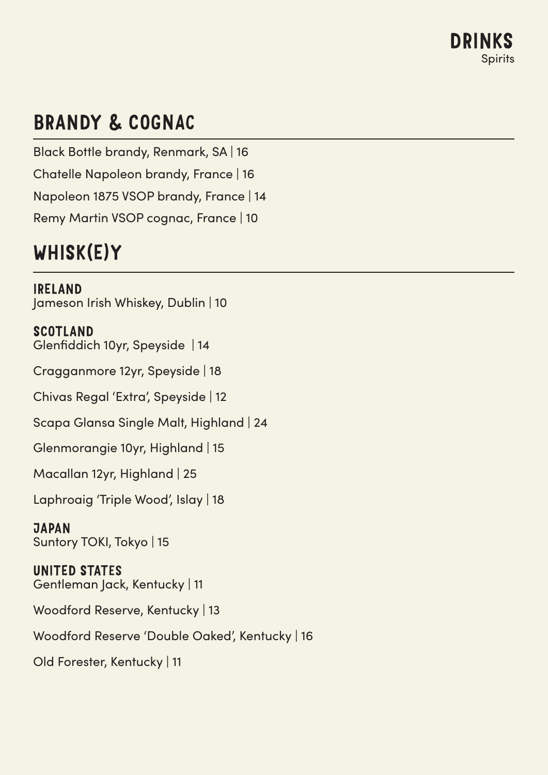# BRANDY & COGNAC

Black Bottle brandy, Renmark, SA | 16 Chatelle Napoleon brandy, France | 16 Napoleon 1875 VSOP brandy, France | 14 Remy Martin VSOP cognac, France | 10

# WHISK(E)Y

IRELAND Jameson Irish Whiskey, Dublin | 10

SCOTLAND Glenfiddich 10yr, Speyside | 14

Cragganmore 12yr, Speyside | 18

Chivas Regal 'Extra', Speyside | 12

Scapa Glansa Single Malt, Highland | 24

Glenmorangie 10yr, Highland | 15

Macallan 12yr, Highland | 25

Laphroaig 'Triple Wood', Islay | 18

### **JAPAN** Suntory TOKI, Tokyo | 15

UNITED STATES Gentleman Jack, Kentucky | 11

Woodford Reserve, Kentucky | 13

Woodford Reserve 'Double Oaked', Kentucky | 16

Old Forester, Kentucky | 11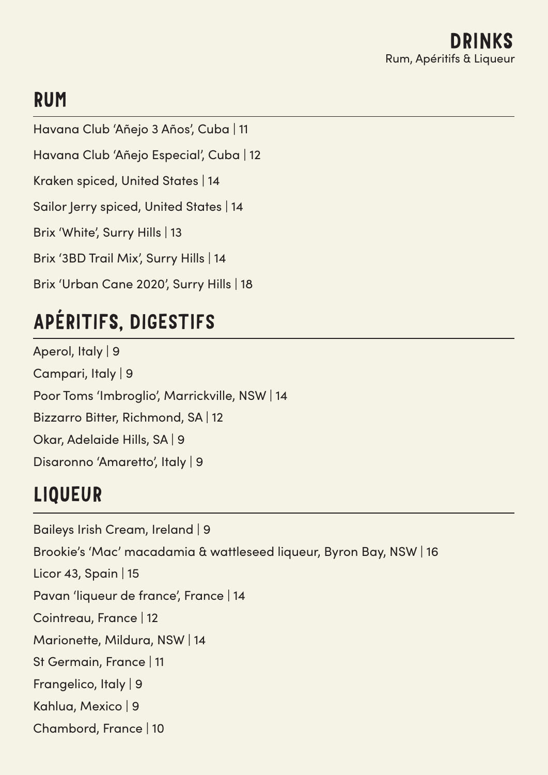# RUM

Havana Club 'Añejo 3 Años', Cuba | 11 Havana Club 'Añejo Especial', Cuba | 12 Kraken spiced, United States | 14 Sailor Jerry spiced, United States | 14 Brix 'White', Surry Hills | 13 Brix '3BD Trail Mix', Surry Hills | 14 Brix 'Urban Cane 2020', Surry Hills | 18

# APÉRITIFS, DIGESTIFS

Aperol, Italy | 9 Campari, Italy | 9 Poor Toms 'Imbroglio', Marrickville, NSW | 14 Bizzarro Bitter, Richmond, SA | 12 Okar, Adelaide Hills, SA | 9 Disaronno 'Amaretto', Italy | 9

# LIQUEUR

Baileys Irish Cream, Ireland | 9 Brookie's 'Mac' macadamia & wattleseed liqueur, Byron Bay, NSW | 16 Licor 43, Spain | 15 Pavan 'liqueur de france', France | 14 Cointreau, France | 12 Marionette, Mildura, NSW | 14 St Germain, France | 11 Frangelico, Italy | 9 Kahlua, Mexico | 9 Chambord, France | 10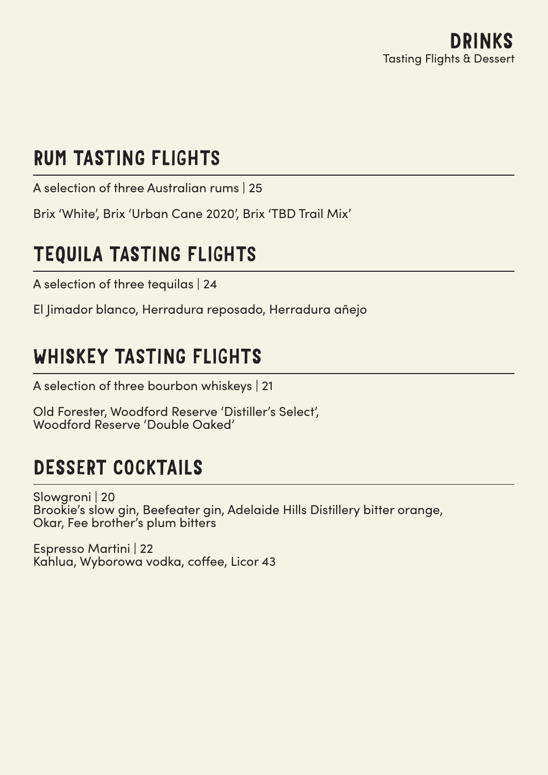# RUM TASTING FLIGHTS

A selection of three Australian rums | 25

Brix 'White', Brix 'Urban Cane 2020', Brix 'TBD Trail Mix'

# TEQUILA TASTING FLIGHTS

A selection of three tequilas | 24

El Jimador blanco, Herradura reposado, Herradura añejo

# WHISKEY TASTING FLIGHTS

A selection of three bourbon whiskeys | 21

Old Forester, Woodford Reserve 'Distiller's Select', Woodford Reserve 'Double Oaked'

# DESSERT COCKTAILS

Slowgroni | 20 Brookie's slow gin, Beefeater gin, Adelaide Hills Distillery bitter orange, Okar, Fee brother's plum bitters

Espresso Martini | 22 Kahlua, Wyborowa vodka, coffee, Licor 43